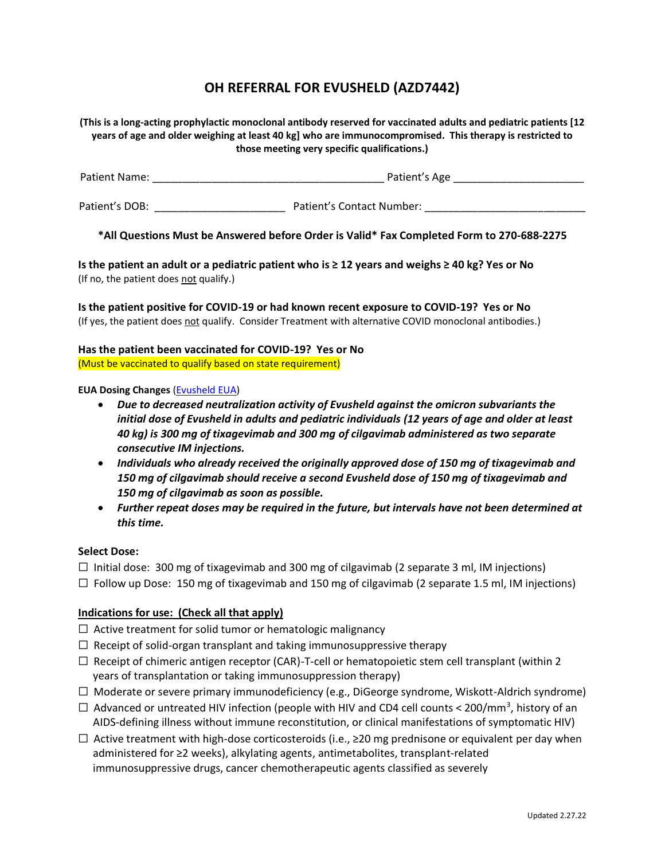# **OH REFERRAL FOR EVUSHELD (AZD7442)**

**(This is a long-acting prophylactic monoclonal antibody reserved for vaccinated adults and pediatric patients [12 years of age and older weighing at least 40 kg] who are immunocompromised. This therapy is restricted to those meeting very specific qualifications.)** 

Patient Name: \_\_\_\_\_\_\_\_\_\_\_\_\_\_\_\_\_\_\_\_\_\_\_\_\_\_\_\_\_\_\_\_\_\_\_\_\_\_\_ Patient's Age \_\_\_\_\_\_\_\_\_\_\_\_\_\_\_\_\_\_\_\_\_\_

Patient's DOB: \_\_\_\_\_\_\_\_\_\_\_\_\_\_\_\_\_\_\_\_\_\_ Patient's Contact Number: \_\_\_\_\_\_\_\_\_\_\_\_\_\_\_\_\_\_\_\_\_\_\_\_\_\_\_

**\*All Questions Must be Answered before Order is Valid\* Fax Completed Form to 270-688-2275**

**Is the patient an adult or a pediatric patient who is ≥ 12 years and weighs ≥ 40 kg? Yes or No** (If no, the patient does not qualify.)

**Is the patient positive for COVID-19 or had known recent exposure to COVID-19? Yes or No**  (If yes, the patient does not qualify. Consider Treatment with alternative COVID monoclonal antibodies.)

# **Has the patient been vaccinated for COVID-19? Yes or No**  (Must be vaccinated to qualify based on state requirement)

#### **EUA Dosing Changes** [\(Evusheld EUA\)](https://www.fda.gov/media/154701/download)

- *Due to decreased neutralization activity of Evusheld against the omicron subvariants the initial dose of Evusheld in adults and pediatric individuals (12 years of age and older at least 40 kg) is 300 mg of tixagevimab and 300 mg of cilgavimab administered as two separate consecutive IM injections.*
- *Individuals who already received the originally approved dose of 150 mg of tixagevimab and 150 mg of cilgavimab should receive a second Evusheld dose of 150 mg of tixagevimab and 150 mg of cilgavimab as soon as possible.*
- *Further repeat doses may be required in the future, but intervals have not been determined at this time.*

## **Select Dose:**

 $\Box$  Initial dose: 300 mg of tixagevimab and 300 mg of cilgavimab (2 separate 3 ml, IM injections)

 $\Box$  Follow up Dose: 150 mg of tixagevimab and 150 mg of cilgavimab (2 separate 1.5 ml, IM injections)

## **Indications for use: (Check all that apply)**

- $\Box$  Active treatment for solid tumor or hematologic malignancy
- $\Box$  Receipt of solid-organ transplant and taking immunosuppressive therapy
- $\Box$  Receipt of chimeric antigen receptor (CAR)-T-cell or hematopoietic stem cell transplant (within 2 years of transplantation or taking immunosuppression therapy)
- $\Box$  Moderate or severe primary immunodeficiency (e.g., DiGeorge syndrome, Wiskott-Aldrich syndrome)
- $\Box$  Advanced or untreated HIV infection (people with HIV and CD4 cell counts < 200/mm<sup>3</sup>, history of an AIDS-defining illness without immune reconstitution, or clinical manifestations of symptomatic HIV)
- $□$  Active treatment with high-dose corticosteroids (i.e., ≥20 mg prednisone or equivalent per day when administered for ≥2 weeks), alkylating agents, antimetabolites, transplant-related immunosuppressive drugs, cancer chemotherapeutic agents classified as severely